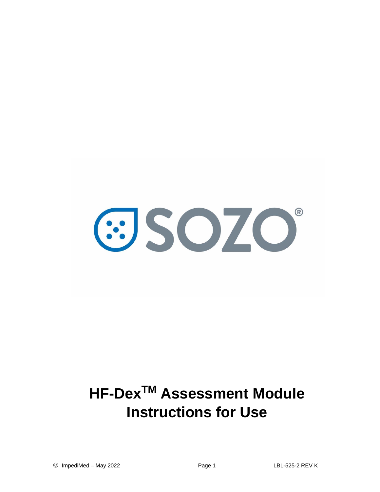

# **HF-DexTM Assessment Module Instructions for Use**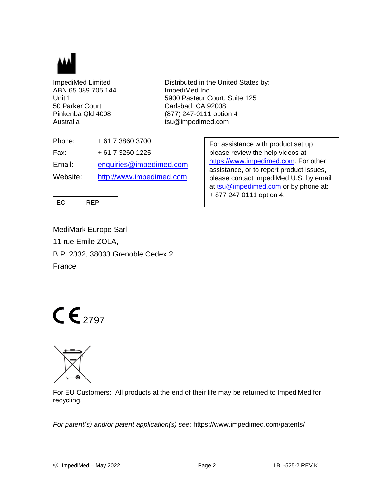

ABN 65 089 705 144 ImpediMed Inc 50 Parker Court Carlsbad, CA 92008 Australia tsu@impedimed.com

ImpediMed Limited Distributed in the United States by: Unit 1 5900 Pasteur Court, Suite 125 Pinkenba Qld 4008 (877) 247-0111 option 4

| Phone:   | + 61 7 3860 3700         |
|----------|--------------------------|
| Fax:     | + 61 7 3260 1225         |
| Email:   | enquiries@impedimed.com  |
| Website: | http://www.impedimed.com |

For assistance with product set up please review the help videos at [https://www.impedimed.com.](https://www.impedimed.com/) For other assistance, or to report product issues, please contact ImpediMed U.S. by email at [tsu@impedimed.com](mailto:tsu@impedimed.com) or by phone at: + 877 247 0111 option 4.



MediMark Europe Sarl 11 rue Emile ZOLA, B.P. 2332, 38033 Grenoble Cedex 2 France

# $C \epsilon_{2797}$



For EU Customers: All products at the end of their life may be returned to ImpediMed for recycling.

*For patent(s) and/or patent application(s) see:* https://www.impedimed.com/patents/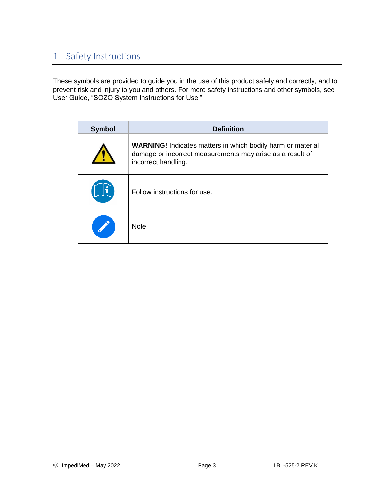# 1 Safety Instructions

These symbols are provided to guide you in the use of this product safely and correctly, and to prevent risk and injury to you and others. For more safety instructions and other symbols, see User Guide, "SOZO System Instructions for Use."

| <b>Symbol</b> | <b>Definition</b>                                                                                                                                      |  |  |  |  |  |  |  |
|---------------|--------------------------------------------------------------------------------------------------------------------------------------------------------|--|--|--|--|--|--|--|
|               | <b>WARNING!</b> Indicates matters in which bodily harm or material<br>damage or incorrect measurements may arise as a result of<br>incorrect handling. |  |  |  |  |  |  |  |
|               | Follow instructions for use.                                                                                                                           |  |  |  |  |  |  |  |
|               | <b>Note</b>                                                                                                                                            |  |  |  |  |  |  |  |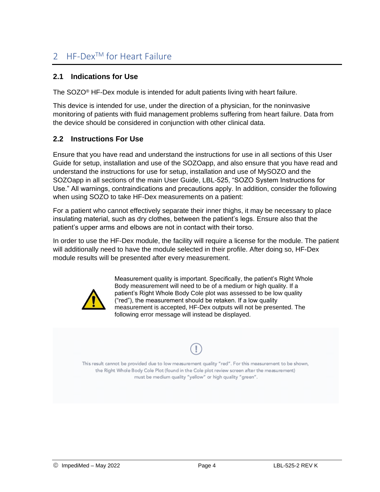## 2 HF-Dex<sup>™</sup> for Heart Failure

#### **2.1 Indications for Use**

The SOZO<sup>®</sup> HF-Dex module is intended for adult patients living with heart failure.

This device is intended for use, under the direction of a physician, for the noninvasive monitoring of patients with fluid management problems suffering from heart failure. Data from the device should be considered in conjunction with other clinical data.

#### **2.2 Instructions For Use**

Ensure that you have read and understand the instructions for use in all sections of this User Guide for setup, installation and use of the SOZOapp, and also ensure that you have read and understand the instructions for use for setup, installation and use of MySOZO and the SOZOapp in all sections of the main User Guide, LBL-525, "SOZO System Instructions for Use." All warnings, contraindications and precautions apply. In addition, consider the following when using SOZO to take HF-Dex measurements on a patient:

For a patient who cannot effectively separate their inner thighs, it may be necessary to place insulating material, such as dry clothes, between the patient's legs. Ensure also that the patient's upper arms and elbows are not in contact with their torso.

In order to use the HF-Dex module, the facility will require a license for the module. The patient will additionally need to have the module selected in their profile. After doing so, HF-Dex module results will be presented after every measurement.



Measurement quality is important. Specifically, the patient's Right Whole Body measurement will need to be of a medium or high quality. If a patient's Right Whole Body Cole plot was assessed to be low quality ("red"), the measurement should be retaken. If a low quality measurement is accepted, HF-Dex outputs will not be presented. The following error message will instead be displayed.

This result cannot be provided due to low measurement quality "red". For this measurement to be shown, the Right Whole Body Cole Plot (found in the Cole plot review screen after the measurement) must be medium quality "yellow" or high quality "green".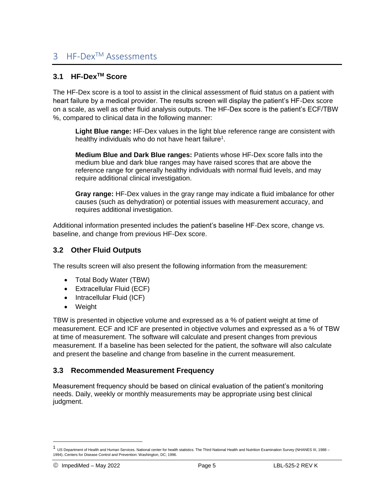### 3 HF-Dex<sup>™</sup> Assessments

#### **3.1 HF-DexTM Score**

The HF-Dex score is a tool to assist in the clinical assessment of fluid status on a patient with heart failure by a medical provider. The results screen will display the patient's HF-Dex score on a scale, as well as other fluid analysis outputs. The HF-Dex score is the patient's ECF/TBW %, compared to clinical data in the following manner:

**Light Blue range:** HF-Dex values in the light blue reference range are consistent with healthy individuals who do not have heart failure<sup>1</sup>.

**Medium Blue and Dark Blue ranges:** Patients whose HF-Dex score falls into the medium blue and dark blue ranges may have raised scores that are above the reference range for generally healthy individuals with normal fluid levels, and may require additional clinical investigation.

**Gray range:** HF-Dex values in the gray range may indicate a fluid imbalance for other causes (such as dehydration) or potential issues with measurement accuracy, and requires additional investigation.

Additional information presented includes the patient's baseline HF-Dex score, change vs. baseline, and change from previous HF-Dex score.

#### **3.2 Other Fluid Outputs**

The results screen will also present the following information from the measurement:

- Total Body Water (TBW)
- Extracellular Fluid (ECF)
- Intracellular Fluid (ICF)
- Weight

TBW is presented in objective volume and expressed as a % of patient weight at time of measurement. ECF and ICF are presented in objective volumes and expressed as a % of TBW at time of measurement. The software will calculate and present changes from previous measurement. If a baseline has been selected for the patient, the software will also calculate and present the baseline and change from baseline in the current measurement.

#### **3.3 Recommended Measurement Frequency**

Measurement frequency should be based on clinical evaluation of the patient's monitoring needs. Daily, weekly or monthly measurements may be appropriate using best clinical judgment.

<sup>1</sup> US Department of Health and Human Services. National center for health statistics. The Third National Health and Nutrition Examination Survey (NHANES III, 1988 -1994).:Centers for Disease Control and Prevention: Washington, DC; 1996.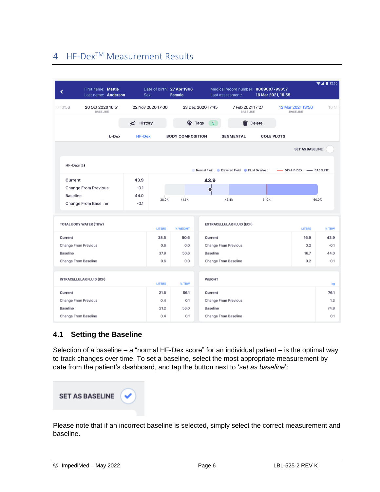# 4 HF-DexTM Measurement Results

| ∢                    | First name: Mattie<br>Last name: Anderson |  | Sex:          |                   | Date of birth: 27 Apr 1966<br><b>Female</b> |                                            | Medical record number: 8009007799657<br>Last assessment: | 16 Mar 2021, 19:55                    |                                      | 24112:30 |
|----------------------|-------------------------------------------|--|---------------|-------------------|---------------------------------------------|--------------------------------------------|----------------------------------------------------------|---------------------------------------|--------------------------------------|----------|
| 013:56               | 20 Oct 2020 10:51<br><b>BASELINE</b>      |  |               | 22 Nov 2020 17:00 |                                             | 23 Dec 2020 17:45                          | 7 Feb 2021 17:27<br><b>BASELINE</b>                      |                                       | 13 Mar 2021 13:56<br><b>BASELINE</b> | 16 Ma    |
|                      |                                           |  | ₹ History     |                   | $\bullet$ Tags                              | 5 <sup>5</sup>                             |                                                          | Delete                                |                                      |          |
| L-Dex                |                                           |  | <b>HF-Dex</b> |                   |                                             | <b>BODY COMPOSITION</b>                    |                                                          | <b>COLE PLOTS</b><br><b>SEGMENTAL</b> |                                      |          |
|                      |                                           |  |               |                   |                                             |                                            |                                                          |                                       | <b>SET AS BASELINE</b>               |          |
| $HF-Dev$ $%)$        |                                           |  |               |                   |                                             | Normal Fluid Elevated Fluid Fluid Overload |                                                          |                                       | 51% HF-DEX - BASELINE                |          |
| Current              |                                           |  | 43.9          |                   |                                             | 43.9                                       |                                                          |                                       |                                      |          |
|                      | <b>Change From Previous</b>               |  | $-0.1$        |                   |                                             | Ч<br>o                                     |                                                          |                                       |                                      |          |
| <b>Baseline</b>      |                                           |  | 44.0          | 38.0%             | 41.5%                                       |                                            | 46.4%                                                    | 51.0%                                 |                                      | 60.0%    |
|                      | <b>Change From Baseline</b>               |  | $-0.1$        |                   |                                             |                                            |                                                          |                                       |                                      |          |
|                      | <b>TOTAL BODY WATER (TBW)</b>             |  |               | <b>LITERS</b>     | % WEIGHT                                    |                                            | <b>EXTRACELLULAR FLUID (ECF)</b>                         |                                       | <b>LITERS</b>                        | % TBW    |
|                      |                                           |  |               |                   | 50.6                                        | Current                                    |                                                          |                                       | 16.9                                 | 43.9     |
|                      | Current<br>Change From Previous           |  |               |                   | 0.0                                         | <b>Change From Previous</b>                |                                                          |                                       | 0.2                                  | $-0.1$   |
| Baseline             |                                           |  |               |                   | 50.6                                        | Baseline                                   |                                                          |                                       | 16.7                                 | 44.0     |
|                      | Change From Baseline                      |  |               | 0.6               | 0.0                                         | Change From Baseline                       |                                                          |                                       | 0.2                                  | $-0.1$   |
|                      | <b>INTRACELLULAR FLUID (ICF)</b>          |  |               |                   |                                             | WEIGHT                                     |                                                          |                                       |                                      |          |
|                      |                                           |  |               | <b>LITERS</b>     | % TBW                                       |                                            |                                                          |                                       |                                      | kg       |
| Current              |                                           |  |               | 21.6              | 56.1                                        | Current                                    |                                                          |                                       |                                      | 76.1     |
| Change From Previous |                                           |  |               | 0.4               | 0.1                                         | <b>Change From Previous</b>                |                                                          |                                       | 1.3                                  |          |
|                      |                                           |  |               |                   | 56.0                                        |                                            |                                                          |                                       |                                      | 74.8     |
| Baseline             |                                           |  |               | 21.2              |                                             | Baseline                                   |                                                          |                                       |                                      |          |

#### **4.1 Setting the Baseline**

Selection of a baseline  $-$  a "normal HF-Dex score" for an individual patient  $-$  is the optimal way to track changes over time. To set a baseline, select the most appropriate measurement by date from the patient's dashboard, and tap the button next to '*set as baseline*':



Please note that if an incorrect baseline is selected, simply select the correct measurement and baseline.